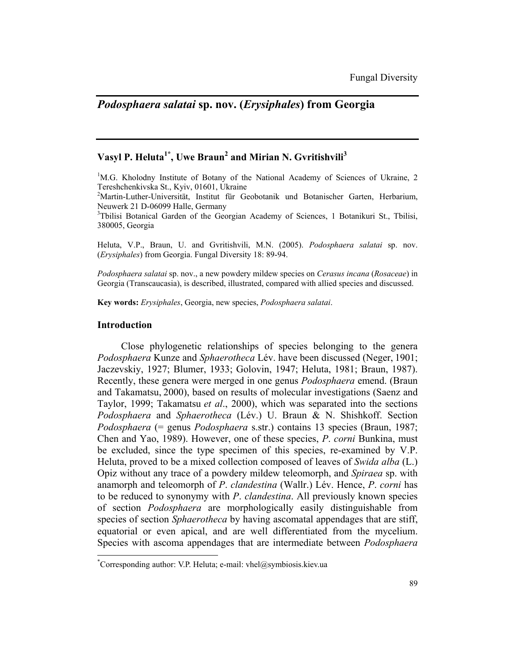# *Podosphaera salatai* **sp. nov. (***Erysiphales***) from Georgia**

## $V$ asyl P. Heluta<sup>1\*</sup>, Uwe Braun<sup>2</sup> and Mirian N. Gvritishvili<sup>3</sup>

<sup>1</sup>M.G. Kholodny Institute of Botany of the National Academy of Sciences of Ukraine, 2 Tereshchenkivska St., Kyiv, 01601, Ukraine

2 Martin-Luther-Universität, Institut für Geobotanik und Botanischer Garten, Herbarium, Neuwerk 21 D-06099 Halle, Germany

<sup>3</sup>Tbilisi Botanical Garden of the Georgian Academy of Sciences, 1 Botanikuri St., Tbilisi, 380005, Georgia

Heluta, V.P., Braun, U. and Gvritishvili, M.N. (2005). *Podosphaera salatai* sp. nov. (*Erysiphales*) from Georgia. Fungal Diversity 18: 89-94.

*Podosphaera salatai* sp. nov., a new powdery mildew species on *Cerasus incana* (*Rosaceae*) in Georgia (Transcaucasia), is described, illustrated, compared with allied species and discussed.

**Key words:** *Erysiphales*, Georgia, new species, *Podosphaera salatai*.

#### **Introduction**

 $\overline{a}$ 

Close phylogenetic relationships of species belonging to the genera *Podosphaera* Kunze and *Sphaerotheca* Lév. have been discussed (Neger, 1901; Jaczevskiy, 1927; Blumer, 1933; Golovin, 1947; Heluta, 1981; Braun, 1987). Recently, these genera were merged in one genus *Podosphaera* emend. (Braun and Takamatsu, 2000), based on results of molecular investigations (Saenz and Taylor, 1999; Takamatsu *et al*., 2000), which was separated into the sections *Podosphaera* and *Sphaerotheca* (Lév.) U. Braun & N. Shishkoff. Section *Podosphaera* (= genus *Podosphaera* s.str.) contains 13 species (Braun, 1987; Chen and Yao, 1989). However, one of these species, *P*. *corni* Bunkina, must be excluded, since the type specimen of this species, re-examined by V.P. Heluta, proved to be a mixed collection composed of leaves of *Swida alba* (L.) Opiz without any trace of a powdery mildew teleomorph, and *Spiraea* sp. with anamorph and teleomorph of *P*. *clandestina* (Wallr.) Lév. Hence, *P*. *corni* has to be reduced to synonymy with *P*. *clandestina*. All previously known species of section *Podosphaera* are morphologically easily distinguishable from species of section *Sphaerotheca* by having ascomatal appendages that are stiff, equatorial or even apical, and are well differentiated from the mycelium. Species with ascoma appendages that are intermediate between *Podosphaera* 

<sup>\*</sup> Corresponding author: V.P. Heluta; e-mail: vhel@symbiosis.kiev.ua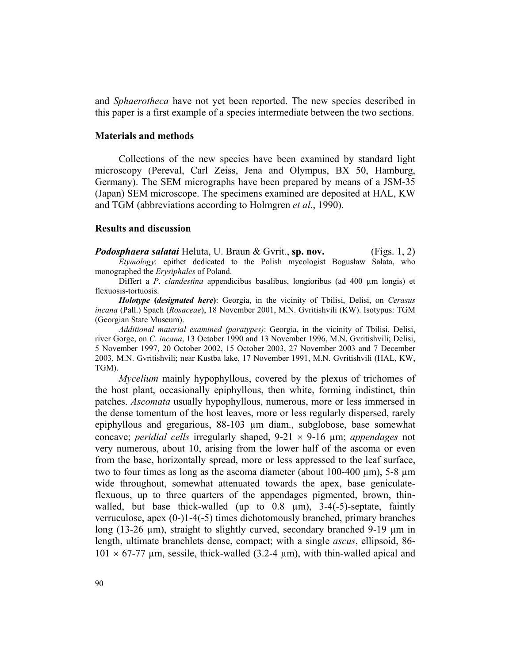and *Sphaerotheca* have not yet been reported. The new species described in this paper is a first example of a species intermediate between the two sections.

### **Materials and methods**

 Collections of the new species have been examined by standard light microscopy (Pereval, Carl Zeiss, Jena and Olympus, BX 50, Hamburg, Germany). The SEM micrographs have been prepared by means of a JSM-35 (Japan) SEM microscope. The specimens examined are deposited at HAL, KW and TGM (abbreviations according to Holmgren *et al*., 1990).

## **Results and discussion**

*Podosphaera salatai* Heluta, U. Braun & Gvrit., **sp. nov.** (Figs. 1, 2) *Etymology*: epithet dedicated to the Polish mycologist Bogusław Sałata, who monographed the *Erysiphales* of Poland.

Differt a *P*. *clandestina* appendicibus basalibus, longioribus (ad 400 µm longis) et flexuosis-tortuosis.

*Holotype* **(***designated here***)**: Georgia, in the vicinity of Tbilisi, Delisi, on *Cerasus incana* (Pall.) Spach (*Rosaceae*), 18 November 2001, M.N. Gvritishvili (KW). Isotypus: TGM (Georgian State Museum).

*Additional material examined (paratypes)*: Georgia, in the vicinity of Tbilisi, Delisi, river Gorge, on *C*. *incana*, 13 October 1990 and 13 November 1996, M.N. Gvritishvili; Delisi, 5 November 1997, 20 October 2002, 15 October 2003, 27 November 2003 and 7 December 2003, M.N. Gvritishvili; near Kustba lake, 17 November 1991, M.N. Gvritishvili (HAL, KW, TGM).

*Mycelium* mainly hypophyllous, covered by the plexus of trichomes of the host plant, occasionally epiphyllous, then white, forming indistinct, thin patches. *Ascomata* usually hypophyllous, numerous, more or less immersed in the dense tomentum of the host leaves, more or less regularly dispersed, rarely epiphyllous and gregarious, 88-103 µm diam., subglobose, base somewhat concave; *peridial cells* irregularly shaped, 9-21 × 9-16 µm; *appendages* not very numerous, about 10, arising from the lower half of the ascoma or even from the base, horizontally spread, more or less appressed to the leaf surface, two to four times as long as the ascoma diameter (about  $100-400 \text{ µm}$ ), 5-8  $\mu$ m wide throughout, somewhat attenuated towards the apex, base geniculateflexuous, up to three quarters of the appendages pigmented, brown, thinwalled, but base thick-walled (up to  $0.8 \mu m$ ),  $3-4(-5)$ -septate, faintly verruculose, apex (0-)1-4(-5) times dichotomously branched, primary branches long (13-26  $\mu$ m), straight to slightly curved, secondary branched 9-19  $\mu$ m in length, ultimate branchlets dense, compact; with a single *ascus*, ellipsoid, 86-  $101 \times 67$ -77 µm, sessile, thick-walled (3.2-4 µm), with thin-walled apical and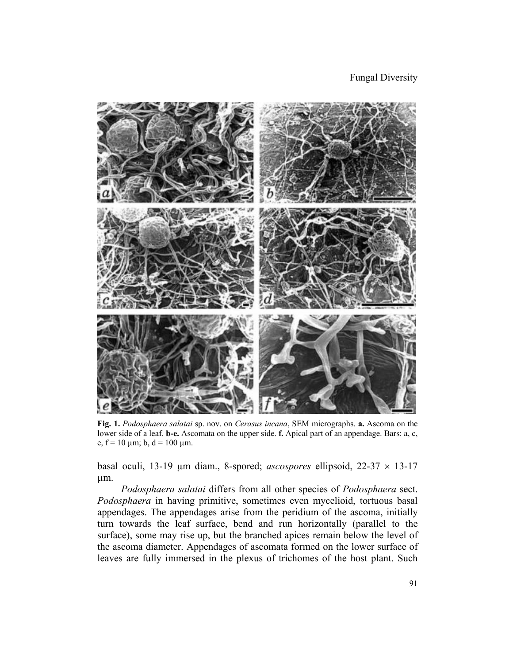Fungal Diversity



**Fig. 1.** *Podosphaera salatai* sp. nov. on *Cerasus incana*, SEM micrographs. **a.** Ascoma on the lower side of a leaf. **b-e.** Ascomata on the upper side. **f.** Apical part of an appendage. Bars: a, c, e,  $f = 10 \mu m$ ; b,  $d = 100 \mu m$ .

basal oculi, 13-19 µm diam., 8-spored; *ascospores* ellipsoid, 22-37 × 13-17 µm.

*Podosphaera salatai* differs from all other species of *Podosphaera* sect. *Podosphaera* in having primitive, sometimes even mycelioid, tortuous basal appendages. The appendages arise from the peridium of the ascoma, initially turn towards the leaf surface, bend and run horizontally (parallel to the surface), some may rise up, but the branched apices remain below the level of the ascoma diameter. Appendages of ascomata formed on the lower surface of leaves are fully immersed in the plexus of trichomes of the host plant. Such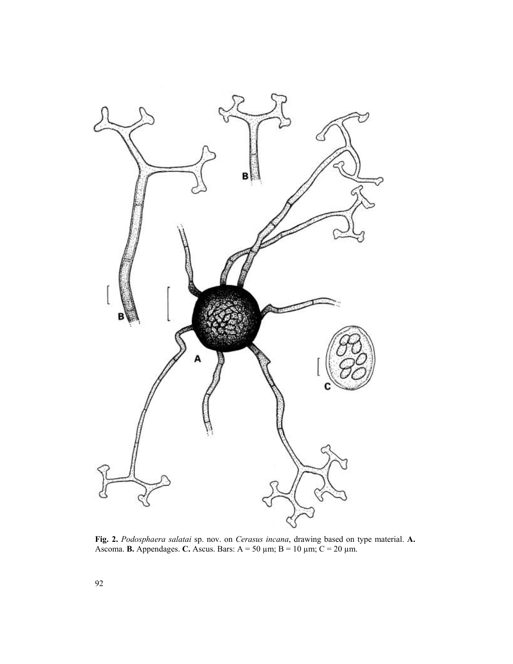

**Fig. 2.** *Podosphaera salatai* sp. nov. on *Cerasus incana*, drawing based on type material. **A.** Ascoma. **B.** Appendages. C. Ascus. Bars:  $A = 50 \mu m$ ;  $B = 10 \mu m$ ;  $C = 20 \mu m$ .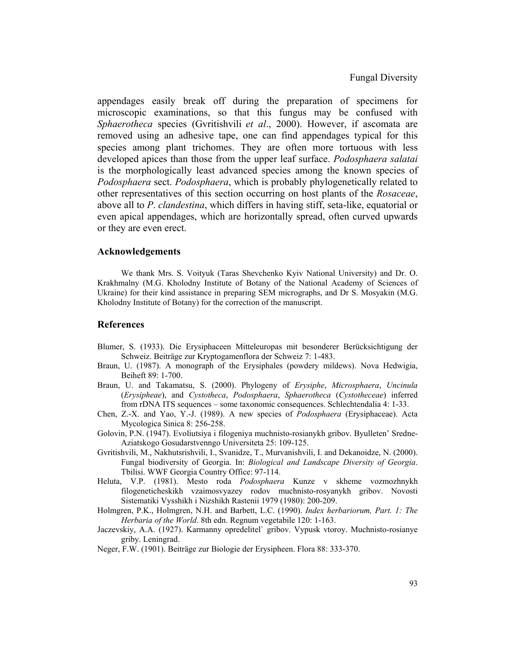appendages easily break off during the preparation of specimens for microscopic examinations, so that this fungus may be confused with *Sphaerotheca* species (Gvritishvili *et al*., 2000). However, if ascomata are removed using an adhesive tape, one can find appendages typical for this species among plant trichomes. They are often more tortuous with less developed apices than those from the upper leaf surface. *Podosphaera salatai* is the morphologically least advanced species among the known species of *Podosphaera* sect. *Podosphaera*, which is probably phylogenetically related to other representatives of this section occurring on host plants of the *Rosaceae*, above all to *P*. *clandestina*, which differs in having stiff, seta-like, equatorial or even apical appendages, which are horizontally spread, often curved upwards or they are even erect.

#### **Acknowledgements**

We thank Mrs. S. Voityuk (Taras Shevchenko Kyiv National University) and Dr. O. Krakhmalny (M.G. Kholodny Institute of Botany of the National Academy of Sciences of Ukraine) for their kind assistance in preparing SEM micrographs, and Dr S. Mosyakin (M.G. Kholodny Institute of Botany) for the correction of the manuscript.

#### **References**

- Blumer, S. (1933). Die Erysiphaceen Mitteleuropas mit besonderer Berücksichtigung der Schweiz. Beiträge zur Kryptogamenflora der Schweiz 7: 1-483.
- Braun, U. (1987). A monograph of the Erysiphales (powdery mildews). Nova Hedwigia, Beiheft 89: 1-700.
- Braun, U. and Takamatsu, S. (2000). Phylogeny of *Erysiphe*, *Microsphaera*, *Uncinula* (*Erysipheae*), and *Cystotheca*, *Podosphaera*, *Sphaerotheca* (*Cystotheceae*) inferred from rDNA ITS sequences – some taxonomic consequences. Schlechtendalia 4: 1-33.
- Chen, Z.-X. and Yao, Y.-J. (1989). A new species of *Podosphaera* (Erysiphaceae). Acta Mycologica Sinica 8: 256-258.
- Golovin, P.N. (1947). Evoliutsiya i filogeniya muchnisto-rosianykh gribov. Byulleten' Sredne-Aziatskogo Gosudarstvenngo Universiteta 25: 109-125.
- Gvritishvili, M., Nakhutsrishvili, I., Svanidze, T., Murvanishvili, I. and Dekanoidze, N. (2000). Fungal biodiversity of Georgia. In: *Biological and Landscape Diversity of Georgia*. Tbilisi. WWF Georgia Country Office: 97-114.
- Heluta, V.P. (1981). Mesto roda *Podosphaera* Kunze v skheme vozmozhnykh filogeneticheskikh vzaimosvyazey rodov muchnisto-rosyanykh gribov. Novosti Sistematiki Vysshikh i Nizshikh Rastenii 1979 (1980): 200-209.
- Holmgren, P.K., Holmgren, N.H. and Barbett, L.C. (1990). *Index herbariorum, Part. 1: The Herbaria of the World*. 8th edn. Regnum vegetabile 120: 1-163.
- Jaczevskiy, A.A. (1927). Karmanny opredelitel` gribov. Vypusk vtoroy. Muchnisto-rosianye griby. Leningrad.
- Neger, F.W. (1901). Beiträge zur Biologie der Erysipheen. Flora 88: 333-370.